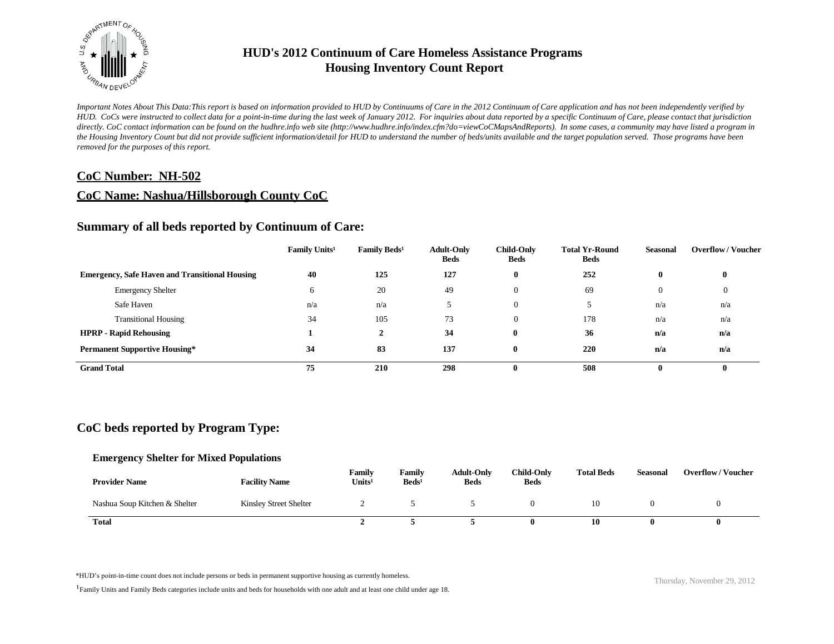

*Important Notes About This Data:This report is based on information provided to HUD by Continuums of Care in the 2012 Continuum of Care application and has not been independently verified by HUD. CoCs were instructed to collect data for a point-in-time during the last week of January 2012. For inquiries about data reported by a specific Continuum of Care, please contact that jurisdiction*  directly. CoC contact information can be found on the hudhre.info web site (http://www.hudhre.info/index.cfm?do=viewCoCMapsAndReports). In some cases, a community may have listed a program in *the Housing Inventory Count but did not provide sufficient information/detail for HUD to understand the number of beds/units available and the target population served. Those programs have been removed for the purposes of this report.*

### **CoC Number: NH-502**

### **CoC Name: Nashua/Hillsborough County CoC**

## **Summary of all beds reported by Continuum of Care:**

|                                                       | Family Units <sup>1</sup> | Family Beds <sup>1</sup> | <b>Adult-Only</b><br><b>Beds</b> | <b>Child-Only</b><br><b>Beds</b> | <b>Total Yr-Round</b><br><b>Beds</b> | <b>Seasonal</b> | <b>Overflow/Voucher</b> |
|-------------------------------------------------------|---------------------------|--------------------------|----------------------------------|----------------------------------|--------------------------------------|-----------------|-------------------------|
| <b>Emergency, Safe Haven and Transitional Housing</b> | 40                        | 125                      | 127                              | $\mathbf{0}$                     | 252                                  | $\bf{0}$        | $\bf{0}$                |
| <b>Emergency Shelter</b>                              | h                         | 20                       | 49                               | $\Omega$                         | 69                                   | $\overline{0}$  | $\overline{0}$          |
| Safe Haven                                            | n/a                       | n/a                      |                                  | $\theta$                         |                                      | n/a             | n/a                     |
| <b>Transitional Housing</b>                           | 34                        | 105                      | 73                               | $\theta$                         | 178                                  | n/a             | n/a                     |
| <b>HPRP - Rapid Rehousing</b>                         |                           | ∠                        | 34                               | $\mathbf{0}$                     | 36                                   | n/a             | n/a                     |
| <b>Permanent Supportive Housing*</b>                  | 34                        | 83                       | 137                              | $\mathbf{0}$                     | 220                                  | n/a             | n/a                     |
| <b>Grand Total</b>                                    | 75                        | 210                      | 298                              | $\mathbf{0}$                     | 508                                  | 0               | $\bf{0}$                |

# **CoC beds reported by Program Type:**

#### **Emergency Shelter for Mixed Populations**

| <b>Provider Name</b>          | <b>Facility Name</b>   | Family<br>Units <sup>1</sup> | Family<br>$\text{Beds}^1$ | <b>Adult-Only</b><br><b>Beds</b> | <b>Child-Only</b><br><b>Beds</b> | <b>Total Beds</b> | <b>Seasonal</b> | <b>Overflow/Voucher</b> |
|-------------------------------|------------------------|------------------------------|---------------------------|----------------------------------|----------------------------------|-------------------|-----------------|-------------------------|
| Nashua Soup Kitchen & Shelter | Kinsley Street Shelter |                              |                           |                                  |                                  | 10                |                 |                         |
| <b>Total</b>                  |                        |                              |                           |                                  |                                  | 10                |                 |                         |

\*HUD's point-in-time count does not include persons or beds in permanent supportive housing as currently homeless.<br>
Thursday, November 29, 2012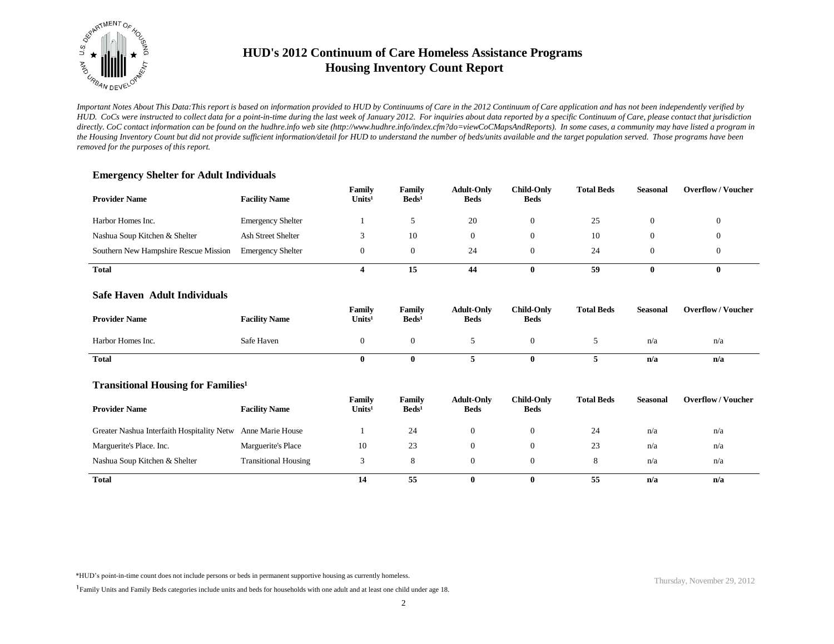

*Important Notes About This Data:This report is based on information provided to HUD by Continuums of Care in the 2012 Continuum of Care application and has not been independently verified by HUD. CoCs were instructed to collect data for a point-in-time during the last week of January 2012. For inquiries about data reported by a specific Continuum of Care, please contact that jurisdiction*  directly. CoC contact information can be found on the hudhre.info web site (http://www.hudhre.info/index.cfm?do=viewCoCMapsAndReports). In some cases, a community may have listed a program in *the Housing Inventory Count but did not provide sufficient information/detail for HUD to understand the number of beds/units available and the target population served. Those programs have been removed for the purposes of this report.*

### **Emergency Shelter for Adult Individuals**

| <b>Provider Name</b>                  | <b>Facility Name</b>      | Family<br>Units <sup>1</sup> | Family<br>$\text{Beds}^1$ | <b>Adult-Only</b><br><b>Beds</b> | <b>Child-Only</b><br><b>Beds</b> | <b>Total Beds</b> | <b>Seasonal</b> | <b>Overflow/Voucher</b> |
|---------------------------------------|---------------------------|------------------------------|---------------------------|----------------------------------|----------------------------------|-------------------|-----------------|-------------------------|
| Harbor Homes Inc.                     | <b>Emergency Shelter</b>  |                              |                           | 20                               |                                  | 25                |                 |                         |
| Nashua Soup Kitchen & Shelter         | <b>Ash Street Shelter</b> |                              | 10                        |                                  |                                  | 10                |                 |                         |
| Southern New Hampshire Rescue Mission | <b>Emergency Shelter</b>  | 0                            | $\theta$                  | 24                               |                                  | 24                |                 |                         |
| <b>Total</b>                          |                           |                              | 15                        | 44                               |                                  | 59                |                 | v                       |

#### **Safe Haven Adult Individuals**

| <b>Provider Name</b> | <b>Facility Name</b> | Family<br>Units <sup>1</sup> | Family<br>$\text{Beds}^1$ | <b>Adult-Only</b><br><b>Beds</b> | <b>Child-Only</b><br><b>Beds</b> | <b>Total Beds</b> | Seasonal | <b>Overflow/Voucher</b> |
|----------------------|----------------------|------------------------------|---------------------------|----------------------------------|----------------------------------|-------------------|----------|-------------------------|
| Harbor Homes Inc.    | Safe Haven           |                              |                           |                                  |                                  |                   | n/a      | n/a                     |
| Total                |                      |                              |                           |                                  | o                                |                   | n/a      | n/a                     |

#### **Transitional Housing for Families<sup>1</sup>**

| <b>Provider Name</b>                       | <b>Facility Name</b>        | Family<br>Units <sup>1</sup> | Family<br>Beds <sup>1</sup> | <b>Adult-Only</b><br><b>Beds</b> | Child-Only<br><b>Beds</b> | <b>Total Beds</b> | <b>Seasonal</b> | <b>Overflow/Voucher</b> |
|--------------------------------------------|-----------------------------|------------------------------|-----------------------------|----------------------------------|---------------------------|-------------------|-----------------|-------------------------|
| Greater Nashua Interfaith Hospitality Netw | Anne Marie House            |                              | 24                          | 0                                | $\theta$                  | 24                | n/a             | n/a                     |
| Marguerite's Place. Inc.                   | Marguerite's Place          | 10                           | 23                          | 0                                | $^{(1)}$                  | 23                | n/a             | n/a                     |
| Nashua Soup Kitchen & Shelter              | <b>Transitional Housing</b> |                              |                             | 0                                | $\theta$                  | ð                 | n/a             | n/a                     |
| <b>Total</b>                               |                             | 14                           | 55                          | $\mathbf{0}$                     | 0                         | 55                | n/a             | n/a                     |

\*HUD's point-in-time count does not include persons or beds in permanent supportive housing as currently homeless.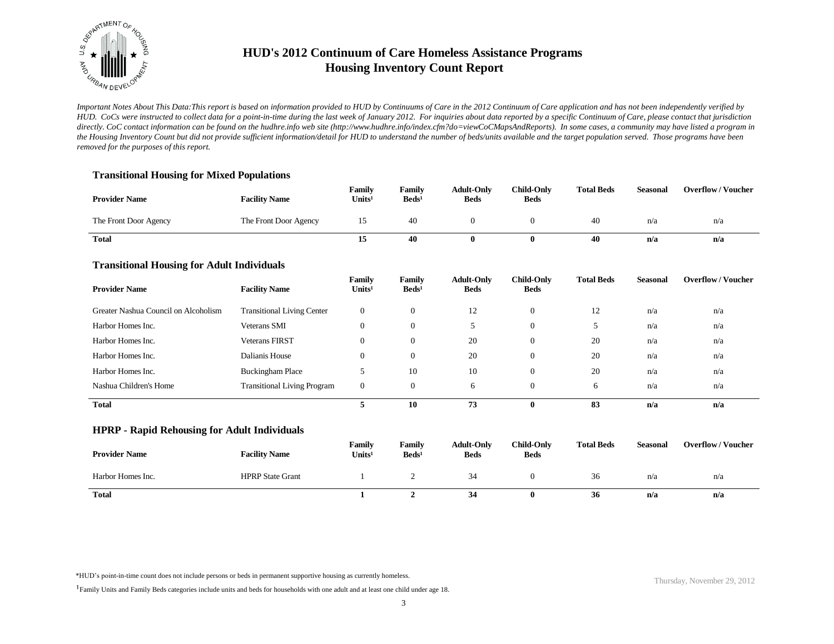

*Important Notes About This Data:This report is based on information provided to HUD by Continuums of Care in the 2012 Continuum of Care application and has not been independently verified by HUD. CoCs were instructed to collect data for a point-in-time during the last week of January 2012. For inquiries about data reported by a specific Continuum of Care, please contact that jurisdiction*  directly. CoC contact information can be found on the hudhre.info web site (http://www.hudhre.info/index.cfm?do=viewCoCMapsAndReports). In some cases, a community may have listed a program in *the Housing Inventory Count but did not provide sufficient information/detail for HUD to understand the number of beds/units available and the target population served. Those programs have been removed for the purposes of this report.*

### **Transitional Housing for Mixed Populations**

| <b>Provider Name</b>  | <b>Facility Name</b>  | Family<br>Units <sup>1</sup> | Family<br>$\text{Beds}^1$ | <b>Adult-Only</b><br><b>Beds</b> | <b>Child-Only</b><br><b>Beds</b> | <b>Total Beds</b> | Seasonal | <b>Overflow/Voucher</b> |
|-----------------------|-----------------------|------------------------------|---------------------------|----------------------------------|----------------------------------|-------------------|----------|-------------------------|
| The Front Door Agency | The Front Door Agency | 15                           | 40                        |                                  |                                  | 40                | n/a      | n/a                     |
| Total                 |                       | 15                           | 40                        |                                  |                                  | 40                | n/a      | n/a                     |

### **Transitional Housing for Adult Individuals**

| ັ<br><b>Provider Name</b>            | <b>Facility Name</b>               | Family<br>Units <sup>1</sup> | Family<br>$\text{Beds}^1$ | <b>Adult-Only</b><br><b>Beds</b> | <b>Child-Only</b><br><b>Beds</b> | <b>Total Beds</b> | <b>Seasonal</b> | <b>Overflow/Voucher</b> |
|--------------------------------------|------------------------------------|------------------------------|---------------------------|----------------------------------|----------------------------------|-------------------|-----------------|-------------------------|
| Greater Nashua Council on Alcoholism | <b>Transitional Living Center</b>  | $\mathbf{0}$                 | $\mathbf{0}$              | 12                               | $\theta$                         | 12                | n/a             | n/a                     |
| Harbor Homes Inc.                    | <b>Veterans SMI</b>                | $\mathbf{0}$                 | $\mathbf{0}$              | 5                                | $\theta$                         |                   | n/a             | n/a                     |
| Harbor Homes Inc.                    | <b>Veterans FIRST</b>              | $\overline{0}$               | $\mathbf{0}$              | 20                               | $\overline{0}$                   | 20                | n/a             | n/a                     |
| Harbor Homes Inc.                    | Dalianis House                     | $\overline{0}$               | $\Omega$                  | 20                               | $\overline{0}$                   | 20                | n/a             | n/a                     |
| Harbor Homes Inc.                    | <b>Buckingham Place</b>            | . J                          | 10                        | 10                               | $\overline{0}$                   | 20                | n/a             | n/a                     |
| Nashua Children's Home               | <b>Transitional Living Program</b> | $\mathbf{0}$                 | $\Omega$                  | 6                                | $\Omega$                         | 6                 | n/a             | n/a                     |
| <b>Total</b>                         |                                    |                              | 10                        | 73                               | $\mathbf{0}$                     | 83                | n/a             | n/a                     |

#### **HPRP - Rapid Rehousing for Adult Individuals**

| <b>Provider Name</b> | <b>Facility Name</b>    | Family<br>Units <sup>1</sup> | Family<br>$\text{Beds}^1$ | <b>Adult-Only</b><br><b>Beds</b> | <b>Child-Only</b><br><b>Beds</b> | <b>Total Beds</b> | <b>Seasonal</b> | <b>Overflow/Voucher</b> |
|----------------------|-------------------------|------------------------------|---------------------------|----------------------------------|----------------------------------|-------------------|-----------------|-------------------------|
| Harbor Homes Inc.    | <b>HPRP</b> State Grant |                              |                           | 34                               |                                  | 36                | n/a             | n/a                     |
| <b>Total</b>         |                         |                              |                           | 34                               |                                  | 36                | n/a             | n/a                     |

\*HUD's point-in-time count does not include persons or beds in permanent supportive housing as currently homeless.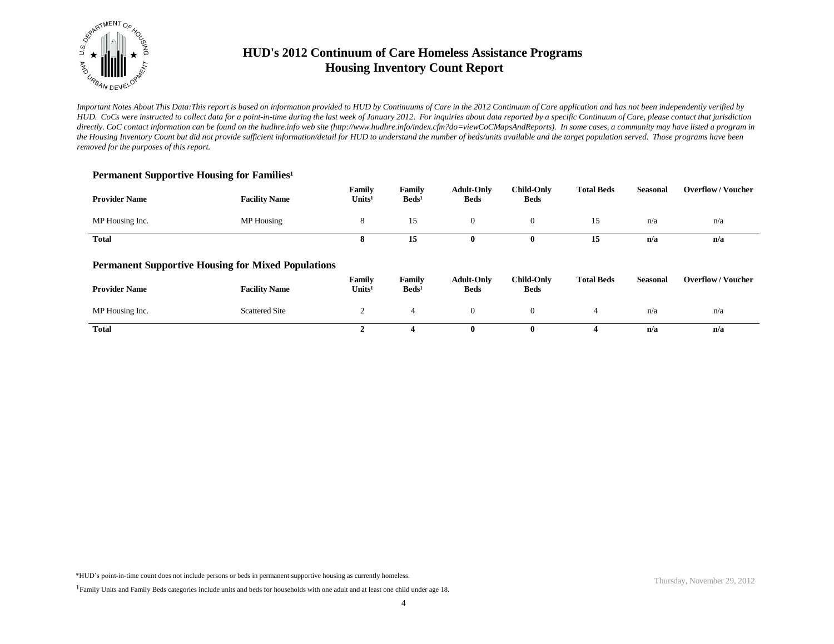

*Important Notes About This Data:This report is based on information provided to HUD by Continuums of Care in the 2012 Continuum of Care application and has not been independently verified by HUD. CoCs were instructed to collect data for a point-in-time during the last week of January 2012. For inquiries about data reported by a specific Continuum of Care, please contact that jurisdiction*  directly. CoC contact information can be found on the hudhre.info web site (http://www.hudhre.info/index.cfm?do=viewCoCMapsAndReports). In some cases, a community may have listed a program in *the Housing Inventory Count but did not provide sufficient information/detail for HUD to understand the number of beds/units available and the target population served. Those programs have been removed for the purposes of this report.*

### Permanent Supportive Housing for Families<sup>1</sup>

| <b>Provider Name</b> | <b>Facility Name</b>                                      | Family<br>Units <sup>1</sup> | Family<br>$\text{Beds}^1$ | <b>Adult-Only</b><br><b>Beds</b> | Child-Only<br><b>Beds</b>        | <b>Total Beds</b> | <b>Seasonal</b> | <b>Overflow / Voucher</b> |
|----------------------|-----------------------------------------------------------|------------------------------|---------------------------|----------------------------------|----------------------------------|-------------------|-----------------|---------------------------|
| MP Housing Inc.      | MP Housing                                                | 8                            | 15                        | $\overline{0}$                   | $\theta$                         | 15                | n/a             | n/a                       |
| <b>Total</b>         |                                                           | 8                            | 15                        | $\bf{0}$                         | $\bf{0}$                         | 15                | n/a             | n/a                       |
|                      | <b>Permanent Supportive Housing for Mixed Populations</b> |                              |                           |                                  |                                  |                   |                 |                           |
| <b>Provider Name</b> | <b>Facility Name</b>                                      | Family<br>Units <sup>1</sup> | Family<br>$\text{Beds}^1$ | <b>Adult-Only</b><br><b>Beds</b> | <b>Child-Only</b><br><b>Beds</b> | <b>Total Beds</b> | <b>Seasonal</b> | <b>Overflow/Voucher</b>   |
| MP Housing Inc.      | <b>Scattered Site</b>                                     | 2                            | 4                         | $\overline{0}$                   | $\theta$                         | $\overline{4}$    | n/a             | n/a                       |
| <b>Total</b>         |                                                           | 2                            | 4                         | $\mathbf{0}$                     | $\bf{0}$                         | 4                 | n/a             | n/a                       |

\*HUD's point-in-time count does not include persons or beds in permanent supportive housing as currently homeless.

<sup>&</sup>lt;sup>1</sup>Family Units and Family Beds categories include units and beds for households with one adult and at least one child under age 18.